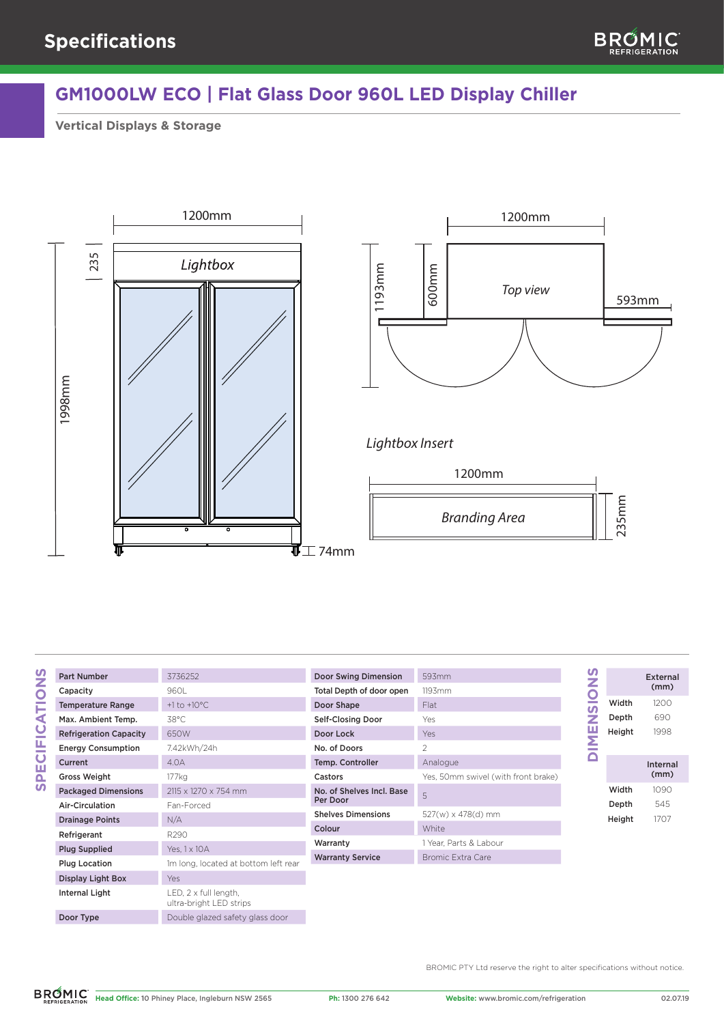

## **GM1000LW ECO | Flat Glass Door 960L LED Display Chiller**

**Vertical Displays & Storage**





## *Lightbox Insert*



| Part Number                   | 3736252                 |
|-------------------------------|-------------------------|
| Capacity                      | 9601                    |
| <b>Temperature Range</b>      | $+1$ to $+10^{\circ}$ C |
| Max. Ambient Temp.            | 38°C                    |
| <b>Refrigeration Capacity</b> | 650W                    |
| <b>Energy Consumption</b>     | 7.42kWh/24h             |
| Current                       | 4 <sub>0</sub>          |
| <b>Gross Weight</b>           | 177ka                   |
| <b>Packaged Dimensions</b>    | 2115 x 1270 x 754 mm    |
| Air-Circulation               | Fan-Forced              |

| <b>Part Number</b>            | 3736252                                          | Do  |
|-------------------------------|--------------------------------------------------|-----|
| Capacity                      | 960L                                             | Toi |
| <b>Temperature Range</b>      | $+1$ to $+10^{\circ}$ C                          | Do  |
| Max. Ambient Temp.            | $38^{\circ}$ C                                   | Se  |
| <b>Refrigeration Capacity</b> | 650W                                             | Do  |
| <b>Energy Consumption</b>     | 7.42kWh/24h                                      | No  |
| Current                       | 4.0A                                             | Tel |
| <b>Gross Weight</b>           | 177 kg                                           | Ca  |
| <b>Packaged Dimensions</b>    | 2115 x 1270 x 754 mm                             | No  |
| Air-Circulation               | Fan-Forced                                       | Pe  |
| <b>Drainage Points</b>        | N/A                                              | Sh  |
| Refrigerant                   | R290                                             | Co  |
| <b>Plug Supplied</b>          | Yes, 1 x 10 A                                    | W   |
| <b>Plug Location</b>          | 1m long, located at bottom left rear             | W   |
| Display Light Box             | Yes                                              |     |
| Internal Light                | LED, 2 x full length,<br>ultra-bright LED strips |     |
| Door Type                     | Double glazed safety glass door                  |     |

| Door Swing Dimension                  | 593mm                    |
|---------------------------------------|--------------------------|
| Total Depth of door open              | 119.3mm                  |
| Door Shape                            | Flat                     |
| Self-Closing Door                     | Yes                      |
| Door Lock                             | Yes                      |
| No. of Doors                          | 2                        |
| Temp. Controller                      | Analogue                 |
|                                       |                          |
| Castors                               | Yes, 50mm swivel (with f |
| No. of Shelves Incl. Base<br>Per Door | 5                        |
| <b>Shelves Dimensions</b>             | 527(w) x 478(d) mm       |
| Colour                                | <b>White</b>             |
| Warranty                              | 1 Year, Parts & Labour   |
| <b>Warranty Service</b>               | Bromic Extra Care        |

|             | z<br>$\bm{\eta}$<br>z<br>π<br>Σ | Width<br>Depth<br>Height |
|-------------|---------------------------------|--------------------------|
| ront brake) |                                 |                          |
|             |                                 | Width                    |
|             |                                 | Depth                    |
|             |                                 | Height                   |
|             |                                 |                          |

|        | External<br>(mm) |
|--------|------------------|
| Width  | 1200             |
| Depth  | 690              |
| Height | 1998             |
|        |                  |
|        |                  |
|        | Internal<br>(mm) |
| Width  | 1090             |
| Depth  | 545              |
| Height | 1707             |

BROMIC PTY Ltd reserve the right to alter specifications without notice.

**SPECIFICATIONS**

**SPECIFICATIONS**